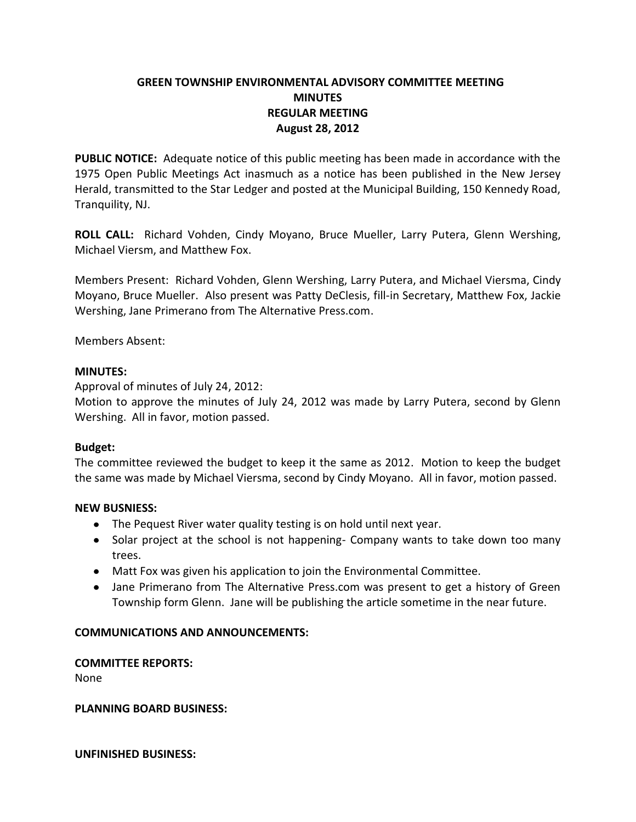# **GREEN TOWNSHIP ENVIRONMENTAL ADVISORY COMMITTEE MEETING MINUTES REGULAR MEETING August 28, 2012**

**PUBLIC NOTICE:** Adequate notice of this public meeting has been made in accordance with the 1975 Open Public Meetings Act inasmuch as a notice has been published in the New Jersey Herald, transmitted to the Star Ledger and posted at the Municipal Building, 150 Kennedy Road, Tranquility, NJ.

**ROLL CALL:** Richard Vohden, Cindy Moyano, Bruce Mueller, Larry Putera, Glenn Wershing, Michael Viersm, and Matthew Fox.

Members Present: Richard Vohden, Glenn Wershing, Larry Putera, and Michael Viersma, Cindy Moyano, Bruce Mueller. Also present was Patty DeClesis, fill-in Secretary, Matthew Fox, Jackie Wershing, Jane Primerano from The Alternative Press.com.

Members Absent:

### **MINUTES:**

Approval of minutes of July 24, 2012:

Motion to approve the minutes of July 24, 2012 was made by Larry Putera, second by Glenn Wershing. All in favor, motion passed.

### **Budget:**

The committee reviewed the budget to keep it the same as 2012. Motion to keep the budget the same was made by Michael Viersma, second by Cindy Moyano. All in favor, motion passed.

### **NEW BUSNIESS:**

- The Pequest River water quality testing is on hold until next year.
- Solar project at the school is not happening- Company wants to take down too many trees.
- Matt Fox was given his application to join the Environmental Committee.
- Jane Primerano from The Alternative Press.com was present to get a history of Green Township form Glenn. Jane will be publishing the article sometime in the near future.

## **COMMUNICATIONS AND ANNOUNCEMENTS:**

## **COMMITTEE REPORTS:**

None

### **PLANNING BOARD BUSINESS:**

**UNFINISHED BUSINESS:**